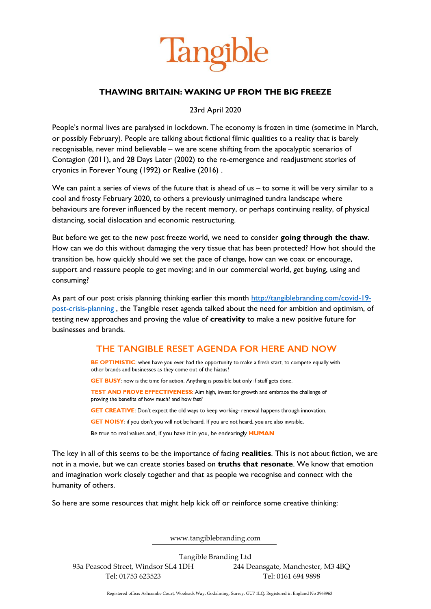

## **THAWING BRITAIN: WAKING UP FROM THE BIG FREEZE**

23rd April 2020

People's normal lives are paralysed in lockdown. The economy is frozen in time (sometime in March, or possibly February). People are talking about fictional filmic qualities to a reality that is barely recognisable, never mind believable – we are scene shifting from the apocalyptic scenarios of Contagion (2011), and 28 Days Later (2002) to the re-emergence and readjustment stories of cryonics in Forever Young (1992) or Realive (2016) .

We can paint a series of views of the future that is ahead of us – to some it will be very similar to a cool and frosty February 2020, to others a previously unimagined tundra landscape where behaviours are forever influenced by the recent memory, or perhaps continuing reality, of physical distancing, social dislocation and economic restructuring.

But before we get to the new post freeze world, we need to consider **going through the thaw**. How can we do this without damaging the very tissue that has been protected? How hot should the transition be, how quickly should we set the pace of change, how can we coax or encourage, support and reassure people to get moving; and in our commercial world, get buying, using and consuming?

As part of our post crisis planning thinking earlier this month [http://tangiblebranding.com/covid-19](http://tangiblebranding.com/covid-19-post-crisis-planning) [post-crisis-planning](http://tangiblebranding.com/covid-19-post-crisis-planning) , the Tangible reset agenda talked about the need for ambition and optimism, of testing new approaches and proving the value of **creativity** to make a new positive future for businesses and brands.

## THE TANGIBLE RESET AGENDA FOR HERE AND NOW

BE OPTIMISTIC: when have you ever had the opportunity to make a fresh start, to compete equally with other brands and businesses as they come out of the hiatus? GET BUSY: now is the time for action. Anything is possible but only if stuff gets done. TEST AND PROVE EFFECTIVENESS: Aim high, invest for growth and embrace the challenge of proving the benefits of how much? and how fast? **GET CREATIVE:** Don't expect the old ways to keep working- renewal happens through innovation. GET NOISY: if you don't you will not be heard. If you are not heard, you are also invisible.

Be true to real values and, if you have it in you, be endearingly **HUMAN** 

The key in all of this seems to be the importance of facing **realities**. This is not about fiction, we are not in a movie, but we can create stories based on **truths that resonate**. We know that emotion and imagination work closely together and that as people we recognise and connect with the humanity of others.

So here are some resources that might help kick off or reinforce some creative thinking:

www.tangiblebranding.com

Tangible Branding Ltd 93a Peascod Street, Windsor SL4 1DH 244 Deansgate, Manchester, M3 4BQ Tel: 01753 623523 Tel: 0161 694 9898

Registered office: Ashcombe Court, Woolsack Way, Godalming, Surrey, GU7 1LQ. Registered in England No 3968963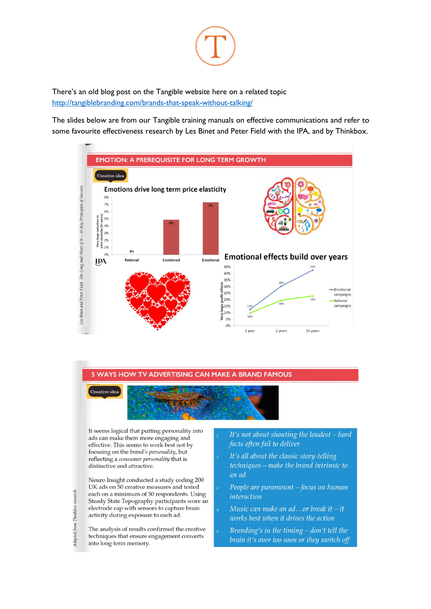

There's an old blog post on the Tangible website here on a related topic http://tangiblebranding.com/brands-that-speak-without-talking/

The slides below are from our Tangible training manuals on effective communications and refer to some favourite effectiveness research by Les Binet and Peter Field with the IPA, and by Thinkbox.



## **5 WAYS HOW TV ADVERTISING CAN MAKE A BRAND FAMOUS**



It seems logical that putting personality into ads can make them more engaging and effective. This seems to work best not by focusing on the brand's personality, but reflecting a consumer personality that is distinctive and attractive.

Neuro Insight conducted a study coding 200 UK ads on 50 creative measures and tested each on a minimum of 50 respondents. Using Steady State Topography participants wore an electrode cap with sensors to capture brain activity during exposure to each ad.

The analysis of results confirmed the creative techniques that ensure engagement converts into long term memory.

- It's not about shouting the loudest hard facts often fail to deliver
- It's all about the classic story-telling techniques – make the brand intrinsic to an ad
- People are paramount focus on human *interaction*
- Music can make an ad...or break it  $-$  it works best when it drives the action
- Branding's in the timing  $-$  don't tell the brain it's over too soon or they switch off